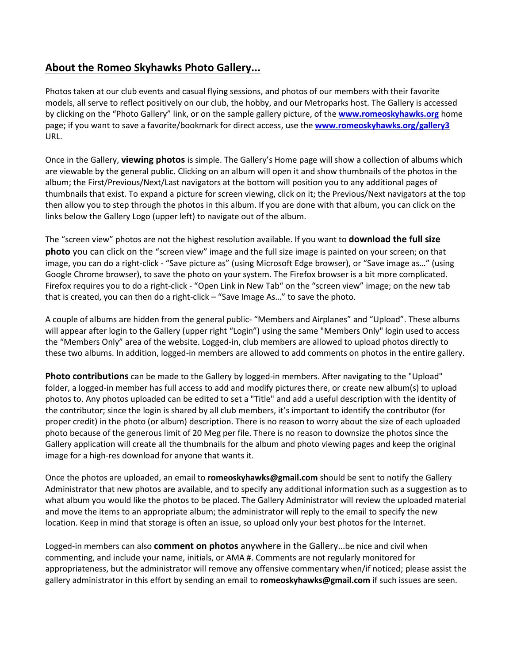## **About the Romeo Skyhawks Photo Gallery...**

Photos taken at our club events and casual flying sessions, and photos of our members with their favorite models, all serve to reflect positively on our club, the hobby, and our Metroparks host. The Gallery is accessed by clicking on the "Photo Gallery" link, or on the sample gallery picture, of the **[www.romeoskyhawks.org](file:///C:/Users/ken/Desktop/www.romeoskyhawks.org)** home page; if you want to save a favorite/bookmark for direct access, use the **[www.romeoskyhawks.org/gallery3](file:///C:/Users/ken/Desktop/www.romeoskyhawks.org/gallery3)** URL.

Once in the Gallery, **viewing photos** is simple. The Gallery's Home page will show a collection of albums which are viewable by the general public. Clicking on an album will open it and show thumbnails of the photos in the album; the First/Previous/Next/Last navigators at the bottom will position you to any additional pages of thumbnails that exist. To expand a picture for screen viewing, click on it; the Previous/Next navigators at the top then allow you to step through the photos in this album. If you are done with that album, you can click on the links below the Gallery Logo (upper left) to navigate out of the album.

The "screen view" photos are not the highest resolution available. If you want to **download the full size photo** you can click on the "screen view" image and the full size image is painted on your screen; on that image, you can do a right-click - "Save picture as" (using Microsoft Edge browser), or "Save image as…" (using Google Chrome browser), to save the photo on your system. The Firefox browser is a bit more complicated. Firefox requires you to do a right-click - "Open Link in New Tab" on the "screen view" image; on the new tab that is created, you can then do a right-click – "Save Image As…" to save the photo.

A couple of albums are hidden from the general public- "Members and Airplanes" and "Upload". These albums will appear after login to the Gallery (upper right "Login") using the same "Members Only" login used to access the "Members Only" area of the website. Logged-in, club members are allowed to upload photos directly to these two albums. In addition, logged-in members are allowed to add comments on photos in the entire gallery.

**Photo contributions** can be made to the Gallery by logged-in members. After navigating to the "Upload" folder, a logged-in member has full access to add and modify pictures there, or create new album(s) to upload photos to. Any photos uploaded can be edited to set a "Title" and add a useful description with the identity of the contributor; since the login is shared by all club members, it's important to identify the contributor (for proper credit) in the photo (or album) description. There is no reason to worry about the size of each uploaded photo because of the generous limit of 20 Meg per file. There is no reason to downsize the photos since the Gallery application will create all the thumbnails for the album and photo viewing pages and keep the original image for a high-res download for anyone that wants it.

Once the photos are uploaded, an email to **romeoskyhawks@gmail.com** should be sent to notify the Gallery Administrator that new photos are available, and to specify any additional information such as a suggestion as to what album you would like the photos to be placed. The Gallery Administrator will review the uploaded material and move the items to an appropriate album; the administrator will reply to the email to specify the new location. Keep in mind that storage is often an issue, so upload only your best photos for the Internet.

Logged-in members can also **comment on photos** anywhere in the Gallery...be nice and civil when commenting, and include your name, initials, or AMA #. Comments are not regularly monitored for appropriateness, but the administrator will remove any offensive commentary when/if noticed; please assist the gallery administrator in this effort by sending an email to **romeoskyhawks@gmail.com** if such issues are seen.